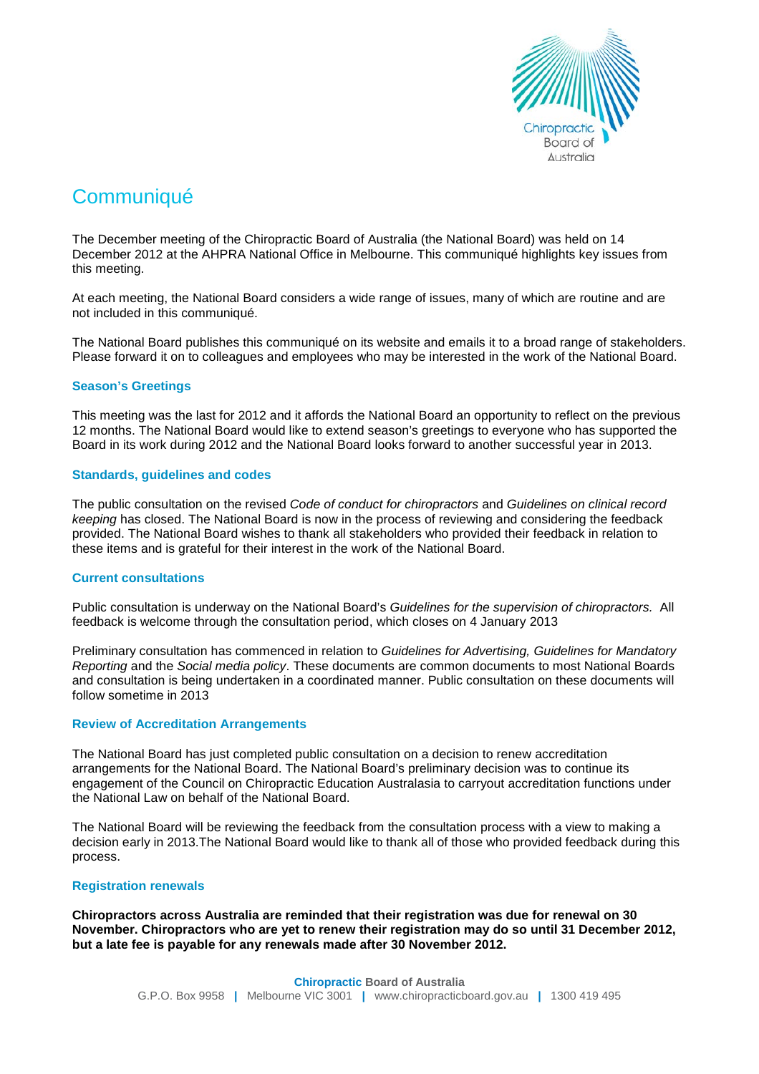

# **Communiqué**

The December meeting of the Chiropractic Board of Australia (the National Board) was held on 14 December 2012 at the AHPRA National Office in Melbourne. This communiqué highlights key issues from this meeting.

At each meeting, the National Board considers a wide range of issues, many of which are routine and are not included in this communiqué.

The National Board publishes this communiqué on its website and emails it to a broad range of stakeholders. Please forward it on to colleagues and employees who may be interested in the work of the National Board.

## **Season's Greetings**

This meeting was the last for 2012 and it affords the National Board an opportunity to reflect on the previous 12 months. The National Board would like to extend season's greetings to everyone who has supported the Board in its work during 2012 and the National Board looks forward to another successful year in 2013.

## **Standards, guidelines and codes**

The public consultation on the revised *Code of conduct for chiropractors* and *Guidelines on clinical record keeping* has closed. The National Board is now in the process of reviewing and considering the feedback provided. The National Board wishes to thank all stakeholders who provided their feedback in relation to these items and is grateful for their interest in the work of the National Board.

## **Current consultations**

Public consultation is underway on the National Board's *Guidelines for the supervision of chiropractors.* All feedback is welcome through the consultation period, which closes on 4 January 2013

Preliminary consultation has commenced in relation to *Guidelines for Advertising, Guidelines for Mandatory Reporting* and the *Social media policy*. These documents are common documents to most National Boards and consultation is being undertaken in a coordinated manner. Public consultation on these documents will follow sometime in 2013

## **Review of Accreditation Arrangements**

The National Board has just completed public consultation on a decision to renew accreditation arrangements for the National Board. The National Board's preliminary decision was to continue its engagement of the Council on Chiropractic Education Australasia to carryout accreditation functions under the National Law on behalf of the National Board.

The National Board will be reviewing the feedback from the consultation process with a view to making a decision early in 2013.The National Board would like to thank all of those who provided feedback during this process.

## **Registration renewals**

**Chiropractors across Australia are reminded that their registration was due for renewal on 30 November. Chiropractors who are yet to renew their registration may do so until 31 December 2012, but a late fee is payable for any renewals made after 30 November 2012.**